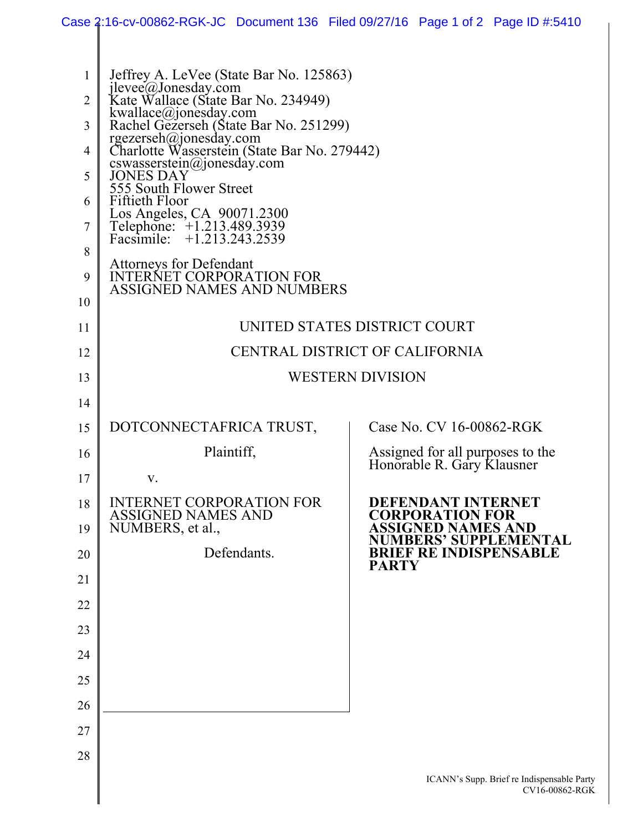|                |                                                                                                                               | Case 2:16-cv-00862-RGK-JC Document 136 Filed 09/27/16 Page 1 of 2 Page ID #:5410 |  |
|----------------|-------------------------------------------------------------------------------------------------------------------------------|----------------------------------------------------------------------------------|--|
|                |                                                                                                                               |                                                                                  |  |
| 1              | Jeffrey A. LeVee (State Bar No. 125863)                                                                                       |                                                                                  |  |
| $\overline{2}$ |                                                                                                                               |                                                                                  |  |
| 3              | jlevee@Jonesday.com<br>Kate Wallace (State Bar No. 234949)<br>kwallace@jonesday.com<br>Rachel Gezerseh (State Bar No. 251299) |                                                                                  |  |
| 4              | rgezerseh@jonesday.com<br>Charlotte Wasserstein (State Bar No. 279442)                                                        |                                                                                  |  |
| 5              | cswasserstein@jonesday.com<br>JONES DAY                                                                                       |                                                                                  |  |
| 6              | 555 South Flower Street<br>Fiftieth Floor                                                                                     |                                                                                  |  |
| 7              | Los Angeles, CA 90071.2300<br>Telephone: +1.213.489.3939<br>Facsimile: +1.213.243.2539                                        |                                                                                  |  |
| 8              |                                                                                                                               |                                                                                  |  |
| 9              | Attorneys for Defendant<br>INTERNET CORPORATION FOR<br><b>ASSIGNED NAMES AND NUMBERS</b>                                      |                                                                                  |  |
| 10             |                                                                                                                               |                                                                                  |  |
| 11             | UNITED STATES DISTRICT COURT                                                                                                  |                                                                                  |  |
| 12             | CENTRAL DISTRICT OF CALIFORNIA                                                                                                |                                                                                  |  |
| 13             | <b>WESTERN DIVISION</b>                                                                                                       |                                                                                  |  |
| 14             |                                                                                                                               |                                                                                  |  |
| 15             | DOTCONNECTAFRICA TRUST,                                                                                                       | Case No. CV 16-00862-RGK                                                         |  |
| 16             | Plaintiff,                                                                                                                    | Assigned for all purposes to the<br>Honorable R. Gary Klausner                   |  |
| 17             | V.                                                                                                                            |                                                                                  |  |
| 18             | <b>INTERNET CORPORATION FOR</b><br><b>ASSIGNED NAMES AND</b>                                                                  | DEFENDANT INTERNET<br><b>CORPORATION FOR</b>                                     |  |
| 19             | NUMBERS, et al.,                                                                                                              | <b>ASSIGNED NAMES AND</b><br><b>NUMBERS' SUPPLEMENTAL</b>                        |  |
| 20             | Defendants.                                                                                                                   | <b>BRIEF RE INDISPENSABLE</b><br><b>PARTY</b>                                    |  |
| 21             |                                                                                                                               |                                                                                  |  |
| 22             |                                                                                                                               |                                                                                  |  |
| 23             |                                                                                                                               |                                                                                  |  |
| 24             |                                                                                                                               |                                                                                  |  |
| 25             |                                                                                                                               |                                                                                  |  |
| 26             |                                                                                                                               |                                                                                  |  |
| 27             |                                                                                                                               |                                                                                  |  |
| 28             |                                                                                                                               |                                                                                  |  |
|                |                                                                                                                               | ICANN's Supp. Brief re Indispensable Party<br>CV16-00862-RGK                     |  |